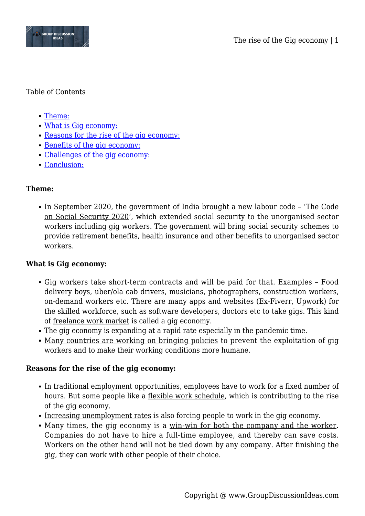

#### Table of Contents

- [Theme:](#page--1-0)
- [What is Gig economy:](#page--1-0)
- [Reasons for the rise of the gig economy:](#page--1-0)
- [Benefits of the gig economy:](#page--1-0)
- [Challenges of the gig economy:](#page--1-0)
- [Conclusion:](#page--1-0)

## **Theme:**

In September 2020, the government of India brought a new labour code – 'The Code on Social Security 2020', which extended social security to the unorganised sector workers including gig workers. The government will bring social security schemes to provide retirement benefits, health insurance and other benefits to unorganised sector workers.

# **What is Gig economy:**

- Gig workers take short-term contracts and will be paid for that. Examples Food delivery boys, uber/ola cab drivers, musicians, photographers, construction workers, on-demand workers etc. There are many apps and websites (Ex-Fiverr, Upwork) for the skilled workforce, such as software developers, doctors etc to take gigs. This kind of freelance work market is called a gig economy.
- The gig economy is expanding at a rapid rate especially in the pandemic time.
- Many countries are working on bringing policies to prevent the exploitation of gig workers and to make their working conditions more humane.

## **Reasons for the rise of the gig economy:**

- In traditional employment opportunities, employees have to work for a fixed number of hours. But some people like a <u>flexible work schedule</u>, which is contributing to the rise of the gig economy.
- Increasing unemployment rates is also forcing people to work in the gig economy.
- Many times, the gig economy is a win-win for both the company and the worker. Companies do not have to hire a full-time employee, and thereby can save costs. Workers on the other hand will not be tied down by any company. After finishing the gig, they can work with other people of their choice.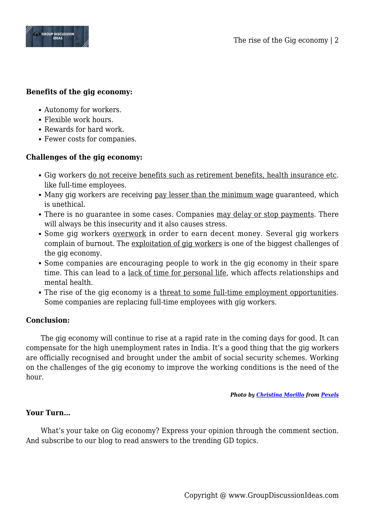

#### **Benefits of the gig economy:**

- Autonomy for workers.
- Flexible work hours.
- Rewards for hard work.
- Fewer costs for companies.

### **Challenges of the gig economy:**

- Gig workers do not receive benefits such as retirement benefits, health insurance etc. like full-time employees.
- Many gig workers are receiving pay lesser than the minimum wage guaranteed, which is unethical.
- There is no quarantee in some cases. Companies may delay or stop payments. There will always be this insecurity and it also causes stress.
- Some gig workers overwork in order to earn decent money. Several gig workers complain of burnout. The exploitation of gig workers is one of the biggest challenges of the gig economy.
- Some companies are encouraging people to work in the gig economy in their spare time. This can lead to a lack of time for personal life, which affects relationships and mental health.
- The rise of the gig economy is a threat to some full-time employment opportunities. Some companies are replacing full-time employees with gig workers.

#### **Conclusion:**

The gig economy will continue to rise at a rapid rate in the coming days for good. It can compensate for the high unemployment rates in India. It's a good thing that the gig workers are officially recognised and brought under the ambit of social security schemes. Working on the challenges of the gig economy to improve the working conditions is the need of the hour.

#### *Photo by [Christina Morillo](https://www.pexels.com/@divinetechygirl?utm_content=attributionCopyText&utm_medium=referral&utm_source=pexels) from [Pexels](https://www.pexels.com/photo/woman-programming-on-a-notebook-1181359/?utm_content=attributionCopyText&utm_medium=referral&utm_source=pexels)*

#### **Your Turn…**

What's your take on Gig economy? Express your opinion through the comment section. And subscribe to our blog to read answers to the trending GD topics.